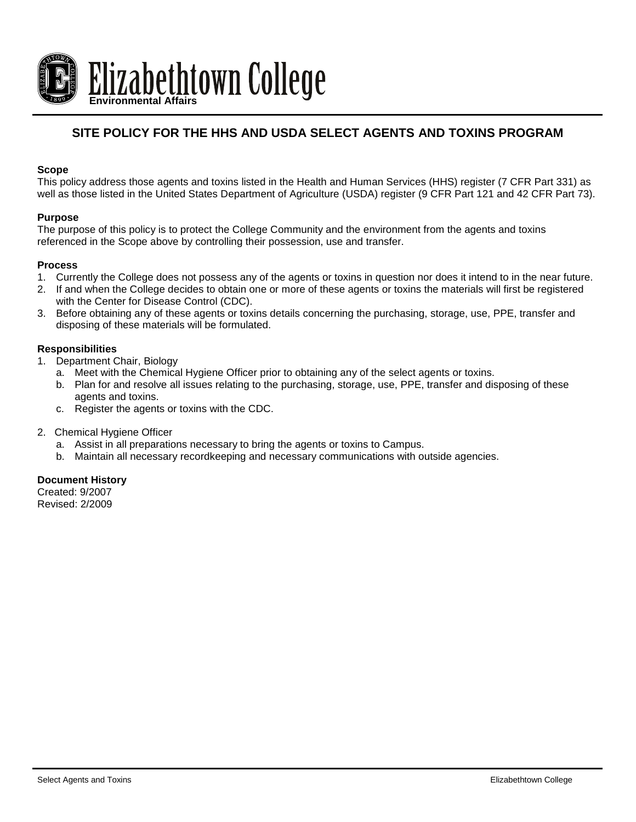

# **SITE POLICY FOR THE HHS AND USDA SELECT AGENTS AND TOXINS PROGRAM**

# **Scope**

This policy address those agents and toxins listed in the Health and Human Services (HHS) register (7 CFR Part 331) as well as those listed in the United States Department of Agriculture (USDA) register (9 CFR Part 121 and 42 CFR Part 73).

### **Purpose**

The purpose of this policy is to protect the College Community and the environment from the agents and toxins referenced in the Scope above by controlling their possession, use and transfer.

### **Process**

- 1. Currently the College does not possess any of the agents or toxins in question nor does it intend to in the near future.
- 2. If and when the College decides to obtain one or more of these agents or toxins the materials will first be registered with the Center for Disease Control (CDC).
- 3. Before obtaining any of these agents or toxins details concerning the purchasing, storage, use, PPE, transfer and disposing of these materials will be formulated.

# **Responsibilities**

- 1. Department Chair, Biology
	- a. Meet with the Chemical Hygiene Officer prior to obtaining any of the select agents or toxins.
	- b. Plan for and resolve all issues relating to the purchasing, storage, use, PPE, transfer and disposing of these agents and toxins.
	- c. Register the agents or toxins with the CDC.
- 2. Chemical Hygiene Officer
	- a. Assist in all preparations necessary to bring the agents or toxins to Campus.
	- b. Maintain all necessary recordkeeping and necessary communications with outside agencies.

### **Document History**

Created: 9/2007 Revised: 2/2009